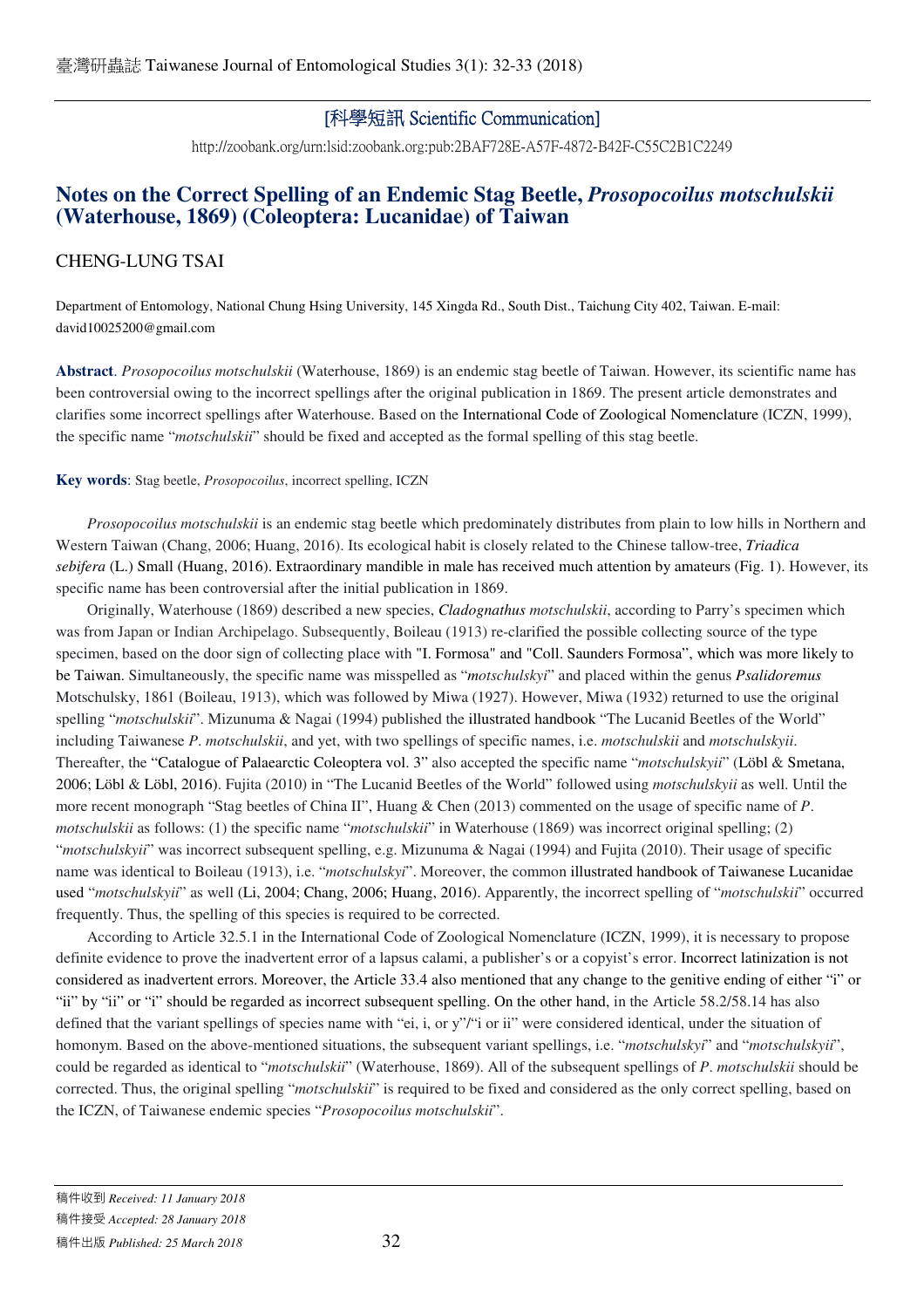## [科學短訊 Scientific Communication]

http://zoobank.org/urn:lsid:zoobank.org:pub:2BAF728E-A57F-4872-B42F-C55C2B1C2249

# **Notes on the Correct Spelling of an Endemic Stag Beetle,** *Prosopocoilus motschulskii* **(Waterhouse, 1869) (Coleoptera: Lucanidae) of Taiwan**

## CHENG-LUNG TSAI

Department of Entomology, National Chung Hsing University, 145 Xingda Rd., South Dist., Taichung City 402, Taiwan. E-mail: david10025200@gmail.com

**Abstract**. *Prosopocoilus motschulskii* (Waterhouse, 1869) is an endemic stag beetle of Taiwan. However, its scientific name has been controversial owing to the incorrect spellings after the original publication in 1869. The present article demonstrates and clarifies some incorrect spellings after Waterhouse. Based on the International Code of Zoological Nomenclature (ICZN, 1999), the specific name "*motschulskii*" should be fixed and accepted as the formal spelling of this stag beetle.

**Key words**: Stag beetle, *Prosopocoilus*, incorrect spelling, ICZN

*Prosopocoilus motschulskii* is an endemic stag beetle which predominately distributes from plain to low hills in Northern and Western Taiwan (Chang, 2006; Huang, 2016). Its ecological habit is closely related to the Chinese tallow-tree, *Triadica sebifera* (L.) Small (Huang, 2016). Extraordinary mandible in male has received much attention by amateurs (Fig. 1). However, its specific name has been controversial after the initial publication in 1869.

Originally, Waterhouse (1869) described a new species, *Cladognathus motschulskii*, according to Parry's specimen which was from Japan or Indian Archipelago. Subsequently, Boileau (1913) re-clarified the possible collecting source of the type specimen, based on the door sign of collecting place with "I. Formosa" and "Coll. Saunders Formosa", which was more likely to be Taiwan. Simultaneously, the specific name was misspelled as "*motschulskyi*" and placed within the genus *Psalidoremus* Motschulsky, 1861 (Boileau, 1913), which was followed by Miwa (1927). However, Miwa (1932) returned to use the original spelling "*motschulskii*". Mizunuma & Nagai (1994) published the illustrated handbook "The Lucanid Beetles of the World" including Taiwanese *P*. *motschulskii*, and yet, with two spellings of specific names, i.e. *motschulskii* and *motschulskyii*. Thereafter, the "Catalogue of Palaearctic Coleoptera vol. 3" also accepted the specific name "*motschulskyii*" (Löbl & Smetana, 2006; Löbl & Löbl, 2016). Fujita (2010) in "The Lucanid Beetles of the World" followed using *motschulskyii* as well. Until the more recent monograph "Stag beetles of China II", Huang & Chen (2013) commented on the usage of specific name of *P*. *motschulskii* as follows: (1) the specific name "*motschulskii*" in Waterhouse (1869) was incorrect original spelling; (2) "*motschulskyii*" was incorrect subsequent spelling, e.g. Mizunuma & Nagai (1994) and Fujita (2010). Their usage of specific name was identical to Boileau (1913), i.e. "*motschulskyi*". Moreover, the common illustrated handbook of Taiwanese Lucanidae used "*motschulskyii*" as well (Li, 2004; Chang, 2006; Huang, 2016). Apparently, the incorrect spelling of "*motschulskii*" occurred frequently. Thus, the spelling of this species is required to be corrected.

According to Article 32.5.1 in the International Code of Zoological Nomenclature (ICZN, 1999), it is necessary to propose definite evidence to prove the inadvertent error of a lapsus calami, a publisher's or a copyist's error. Incorrect latinization is not considered as inadvertent errors. Moreover, the Article 33.4 also mentioned that any change to the genitive ending of either "i" or "ii" by "ii" or "i" should be regarded as incorrect subsequent spelling. On the other hand, in the Article 58.2/58.14 has also defined that the variant spellings of species name with "ei, i, or y"/"i or ii" were considered identical, under the situation of homonym. Based on the above-mentioned situations, the subsequent variant spellings, i.e. "*motschulskyi*" and "*motschulskyii*", could be regarded as identical to "*motschulskii*" (Waterhouse, 1869). All of the subsequent spellings of *P*. *motschulskii* should be corrected. Thus, the original spelling "*motschulskii*" is required to be fixed and considered as the only correct spelling, based on the ICZN, of Taiwanese endemic species "*Prosopocoilus motschulskii*".